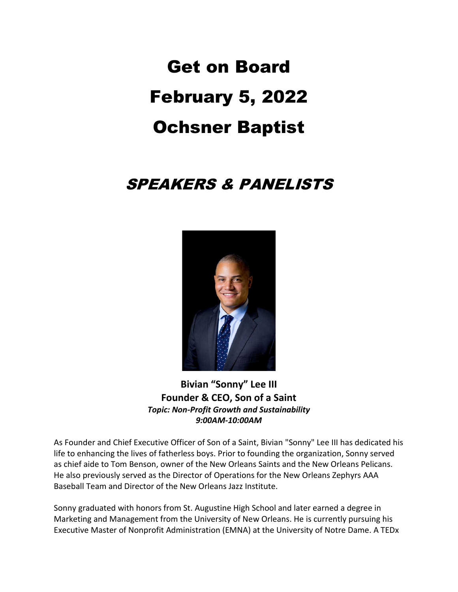# Get on Board February 5, 2022 Ochsner Baptist

# SPEAKERS & PANELISTS



**Bivian "Sonny" Lee III Founder & CEO, Son of a Saint** *Topic: Non-Profit Growth and Sustainability 9:00AM-10:00AM*

As Founder and Chief Executive Officer of Son of a Saint, Bivian "Sonny" Lee III has dedicated his life to enhancing the lives of fatherless boys. Prior to founding the organization, Sonny served as chief aide to Tom Benson, owner of the New Orleans Saints and the New Orleans Pelicans. He also previously served as the Director of Operations for the New Orleans Zephyrs AAA Baseball Team and Director of the New Orleans Jazz Institute.

Sonny graduated with honors from St. Augustine High School and later earned a degree in Marketing and Management from the University of New Orleans. He is currently pursuing his Executive Master of Nonprofit Administration (EMNA) at the University of Notre Dame. A TEDx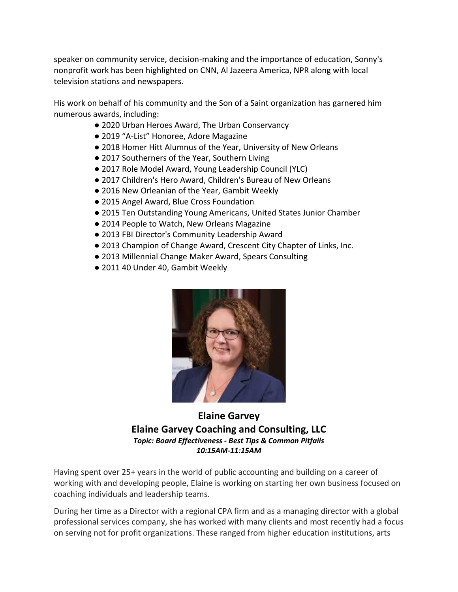speaker on community service, decision-making and the importance of education, Sonny's nonprofit work has been highlighted on CNN, Al Jazeera America, NPR along with local television stations and newspapers.

His work on behalf of his community and the Son of a Saint organization has garnered him numerous awards, including:

- 2020 Urban Heroes Award, The Urban Conservancy
- 2019 "A-List" Honoree, Adore Magazine
- 2018 Homer Hitt Alumnus of the Year, University of New Orleans
- 2017 Southerners of the Year, Southern Living
- 2017 Role Model Award, Young Leadership Council (YLC)
- 2017 Children's Hero Award, Children's Bureau of New Orleans
- 2016 New Orleanian of the Year, Gambit Weekly
- 2015 Angel Award, Blue Cross Foundation
- 2015 Ten Outstanding Young Americans, United States Junior Chamber
- 2014 People to Watch, New Orleans Magazine
- 2013 FBI Director's Community Leadership Award
- 2013 Champion of Change Award, Crescent City Chapter of Links, Inc.
- 2013 Millennial Change Maker Award, Spears Consulting
- 2011 40 Under 40, Gambit Weekly



#### **Elaine Garvey Elaine Garvey Coaching and Consulting, LLC** *Topic: Board Effectiveness - Best Tips & Common Pitfalls 10:15AM-11:15AM*

Having spent over 25+ years in the world of public accounting and building on a career of working with and developing people, Elaine is working on starting her own business focused on coaching individuals and leadership teams.

During her time as a Director with a regional CPA firm and as a managing director with a global professional services company, she has worked with many clients and most recently had a focus on serving not for profit organizations. These ranged from higher education institutions, arts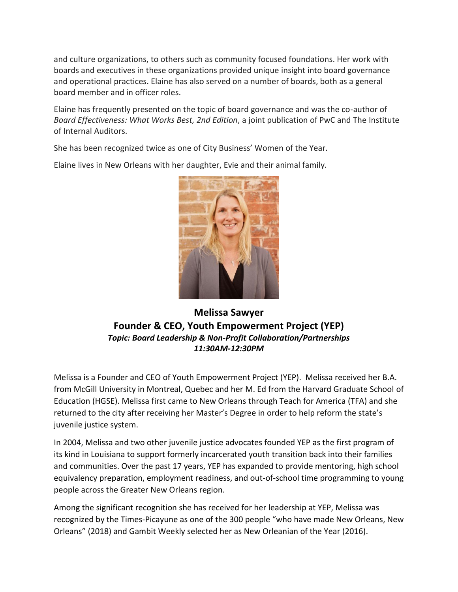and culture organizations, to others such as community focused foundations. Her work with boards and executives in these organizations provided unique insight into board governance and operational practices. Elaine has also served on a number of boards, both as a general board member and in officer roles.

Elaine has frequently presented on the topic of board governance and was the co-author of *Board Effectiveness: What Works Best, 2nd Edition*, a joint publication of PwC and The Institute of Internal Auditors.

She has been recognized twice as one of City Business' Women of the Year.

Elaine lives in New Orleans with her daughter, Evie and their animal family.



#### **Melissa Sawyer Founder & CEO, Youth Empowerment Project (YEP)** *Topic: Board Leadership & Non-Profit Collaboration/Partnerships 11:30AM-12:30PM*

Melissa is a Founder and CEO of Youth Empowerment Project (YEP). Melissa received her B.A. from McGill University in Montreal, Quebec and her M. Ed from the Harvard Graduate School of Education (HGSE). Melissa first came to New Orleans through Teach for America (TFA) and she returned to the city after receiving her Master's Degree in order to help reform the state's juvenile justice system.

In 2004, Melissa and two other juvenile justice advocates founded YEP as the first program of its kind in Louisiana to support formerly incarcerated youth transition back into their families and communities. Over the past 17 years, YEP has expanded to provide mentoring, high school equivalency preparation, employment readiness, and out-of-school time programming to young people across the Greater New Orleans region.

Among the significant recognition she has received for her leadership at YEP, Melissa was recognized by the Times-Picayune as one of the 300 people "who have made New Orleans, New Orleans" (2018) and Gambit Weekly selected her as New Orleanian of the Year (2016).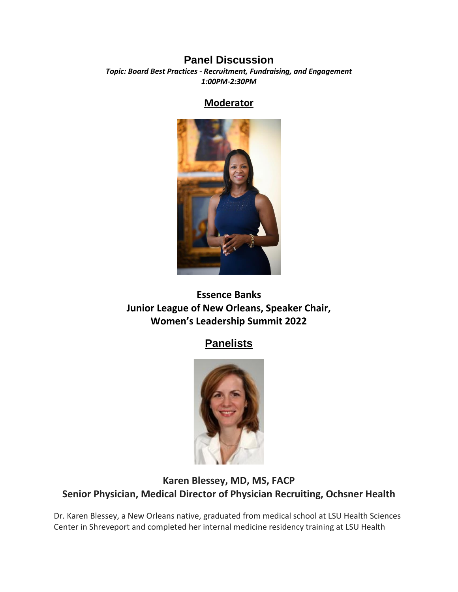#### **Panel Discussion**

*Topic: Board Best Practices - Recruitment, Fundraising, and Engagement 1:00PM-2:30PM*

#### **Moderator**



**Essence Banks Junior League of New Orleans, Speaker Chair, Women's Leadership Summit 2022**

# **Panelists**



# **Karen Blessey, MD, MS, FACP Senior Physician, Medical Director of Physician Recruiting, Ochsner Health**

Dr. Karen Blessey, a New Orleans native, graduated from medical school at LSU Health Sciences Center in Shreveport and completed her internal medicine residency training at LSU Health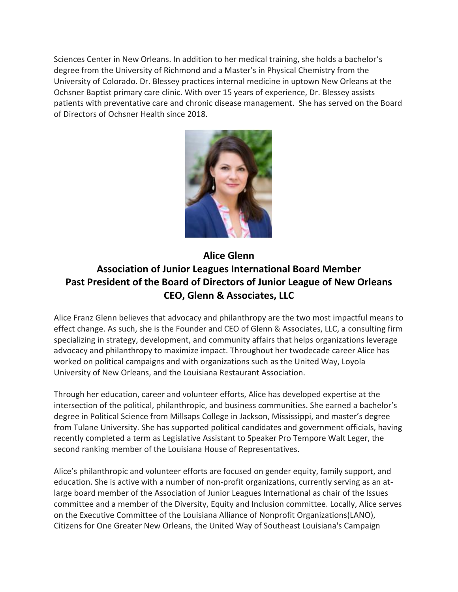Sciences Center in New Orleans. In addition to her medical training, she holds a bachelor's degree from the University of Richmond and a Master's in Physical Chemistry from the University of Colorado. Dr. Blessey practices internal medicine in uptown New Orleans at the Ochsner Baptist primary care clinic. With over 15 years of experience, Dr. Blessey assists patients with preventative care and chronic disease management. She has served on the Board of Directors of Ochsner Health since 2018.



# **Alice Glenn Association of Junior Leagues International Board Member Past President of the Board of Directors of Junior League of New Orleans CEO, Glenn & Associates, LLC**

Alice Franz Glenn believes that advocacy and philanthropy are the two most impactful means to effect change. As such, she is the Founder and CEO of Glenn & Associates, LLC, a consulting firm specializing in strategy, development, and community affairs that helps organizations leverage advocacy and philanthropy to maximize impact. Throughout her twodecade career Alice has worked on political campaigns and with organizations such as the United Way, Loyola University of New Orleans, and the Louisiana Restaurant Association.

Through her education, career and volunteer efforts, Alice has developed expertise at the intersection of the political, philanthropic, and business communities. She earned a bachelor's degree in Political Science from Millsaps College in Jackson, Mississippi, and master's degree from Tulane University. She has supported political candidates and government officials, having recently completed a term as Legislative Assistant to Speaker Pro Tempore Walt Leger, the second ranking member of the Louisiana House of Representatives.

Alice's philanthropic and volunteer efforts are focused on gender equity, family support, and education. She is active with a number of non-profit organizations, currently serving as an atlarge board member of the Association of Junior Leagues International as chair of the Issues committee and a member of the Diversity, Equity and Inclusion committee. Locally, Alice serves on the Executive Committee of the Louisiana Alliance of Nonprofit Organizations(LANO), Citizens for One Greater New Orleans, the United Way of Southeast Louisiana's Campaign